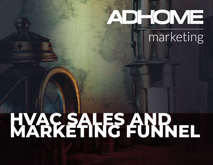# D TOME

### marketing

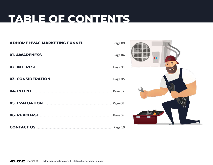#### TABLE OF CONTENTS

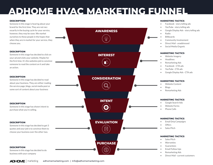#### **ADHOME HVAC MARKETING FUNNEL**

• Facebook - story telling ads

#### **DESCRIPTION MARKETING TACTICS**

Someone in this stage is hearing about your brand for the first time. They are not necessarily in the buying cycle for your service, however, they may be soon. We market ourselves to these people in the hopes that when they are in market for your service, they choose you.

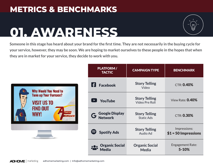### **01. AWARENESS**



**Someone in this stage has heard about your brand for the first time. They are not necessarily in the buying cycle for your service, however, they may be soon. We are hoping to market ourselves to these people in the hopes that when they are in market for your service, they decide to work with you.**



| <b>PLATFORM/</b><br><b>TACTIC</b>     | <b>CAMPAIGN TYPE</b>                          | <b>BENCHMARK</b>                      |
|---------------------------------------|-----------------------------------------------|---------------------------------------|
| <b>Facebook</b>                       | <b>Story Telling</b><br>Video                 | <b>CTR: 0.40%</b>                     |
| <b>YouTube</b>                        | <b>Story Telling</b><br><b>Video Pre Roll</b> | View Rate: 0.40%                      |
| <b>G</b> Google Display               | <b>Story Telling</b><br><b>Static Ads</b>     | <b>CTR: 0.30%</b>                     |
| <b>Spotify Ads</b>                    | <b>Story Telling</b><br>Audio Ad              | Impressions:<br>$$1 = 50$ Impressions |
| <b>Organic Social</b><br><b>Media</b> | <b>Organic Social</b><br><b>Media</b>         | <b>Engagement Rate:</b><br>$5 - 10%$  |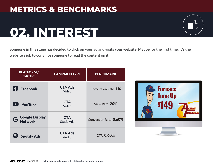### **02. INTEREST**



| <b>PLATFORM/</b><br><b>TACTIC</b> | <b>CAMPAIGN TYPE</b>            | <b>BENCHMARK</b>       |
|-----------------------------------|---------------------------------|------------------------|
| <b>Facebook</b>                   | <b>CTA Ads</b><br>Video         | Conversion Rate: 1%    |
| <b>YouTube</b>                    | <b>CTA</b><br>Video             | View Rate: 20%         |
| <b>G</b> Google Display           | <b>CTA</b><br><b>Static Ads</b> | Conversion Rate: 0.60% |
| <b>Spotify Ads</b>                | <b>CTA Ads</b><br>Audio         | <b>CTR: 0.60%</b>      |

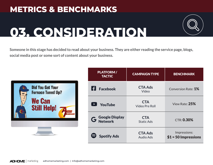

### **03. CONSIDERATION**

**Someone in this stage has decided to read about your business. They are either reading the service page, blogs, social media post or some sort of content about your business.**



| <b>PLATFORM/</b><br><b>TACTIC</b> | <b>CAMPAIGN TYPE</b>                | <b>BENCHMARK</b>                      |
|-----------------------------------|-------------------------------------|---------------------------------------|
| <b>Facebook</b>                   | <b>CTA Ads</b><br>Video             | Conversion Rate: 1%                   |
| <b>YouTube</b>                    | <b>CTA</b><br><b>Video Pre Roll</b> | View Rate: 25%                        |
| <b>G</b> Google Display           | <b>CTA</b><br><b>Static Ads</b>     | <b>CTR: 0.30%</b>                     |
| <b>Spotify Ads</b>                | <b>CTA Ads</b><br><b>Audio Ads</b>  | Impressions:<br>$$1 = 50$ Impressions |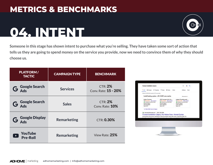### **04. INTENT**



**Someone in this stage has shown intent to purchase what you're selling. They have taken some sort of action that tells us they are going to spend money on the service you provide, now we need to convince them of why they should choose us.**

| <b>PLATFORM/</b><br><b>TACTIC</b> | <b>CAMPAIGN TYPE</b> | <b>BENCHMARK</b>                       |
|-----------------------------------|----------------------|----------------------------------------|
| G Google Search                   | <b>Services</b>      | <b>CTR: 2%</b><br>Conv. Rate: 15 - 20% |
| G Google Search                   | <b>Sales</b>         | <b>CTR: 2%</b><br>Conv. Rate: 10%      |
| <b>G</b> Google Display           | <b>Remarketing</b>   | <b>CTR: 0.30%</b>                      |
| <b>YouTube</b><br><b>Pre-Roll</b> | <b>Remarketing</b>   | View Rate: 25%                         |

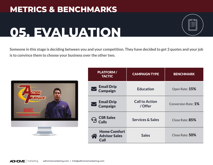### **05. EVALUATION**

**Someone in this stage is deciding between you and your competition. They have decided to get 3 quotes and your job is to convince them to choose your business over the other two.**



| <b>PLATFORM/</b><br><b>TACTIC</b>                                                | <b>CAMPAIGN TYPE</b>             | <b>BENCHMARK</b>    |
|----------------------------------------------------------------------------------|----------------------------------|---------------------|
| <b>Email Drip</b><br><b>Campaign</b>                                             | <b>Education</b>                 | Open Rate: 15%      |
| <b>Email Drip</b><br><b>Campaign</b>                                             | <b>Call to Action</b><br>/ Offer | Conversion Rate: 1% |
| <b>CSR Sales</b><br>$\left( \begin{matrix} 0 \\ 1 \end{matrix} \right)$<br>Calls | <b>Services &amp; Sales</b>      | Close Rate: 85%     |
| <b>Home Comfort</b><br><b>Advisor Sales</b><br>Call                              | <b>Sales</b>                     | Close Rate: 50%     |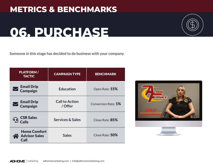### **06. PURCHASE**

**Someone in this stage has decided to do business with your company.**

| <b>PLATFORM/</b><br><b>TACTIC</b>                   | <b>CAMPAIGN TYPE</b>             | <b>BENCHMARK</b>    |
|-----------------------------------------------------|----------------------------------|---------------------|
| <b>Email Drip</b><br><b>Campaign</b>                | <b>Education</b>                 | Open Rate: 15%      |
| <b>Email Drip</b><br><b>Campaign</b>                | <b>Call to Action</b><br>/ Offer | Conversion Rate: 1% |
| <b>CSR Sales</b><br>$\bullet$<br><b>Calls</b>       | <b>Services &amp; Sales</b>      | Close Rate: 85%     |
| <b>Home Comfort</b><br><b>Advisor Sales</b><br>Call | <b>Sales</b>                     | Close Rate: 50%     |